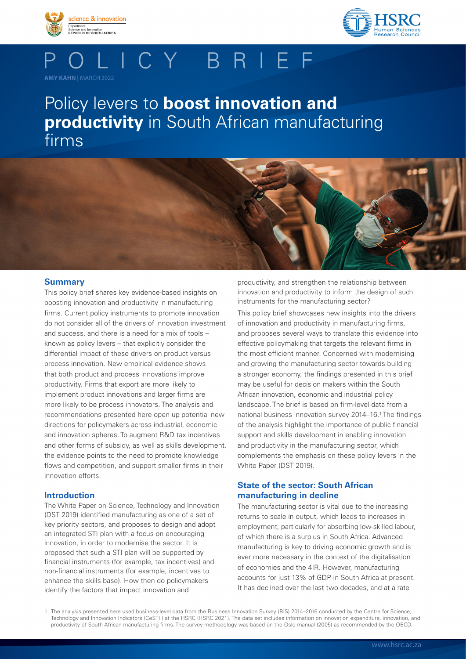



## OLICY BRIEF **AMY KAHN |** MARCH 2022

# Policy levers to **boost innovation and productivity** in South African manufacturing firms



This policy brief shares key evidence-based insights on boosting innovation and productivity in manufacturing firms. Current policy instruments to promote innovation do not consider all of the drivers of innovation investment and success, and there is a need for a mix of tools – known as policy levers – that explicitly consider the differential impact of these drivers on product versus process innovation. New empirical evidence shows that both product and process innovations improve productivity. Firms that export are more likely to implement product innovations and larger firms are more likely to be process innovators. The analysis and recommendations presented here open up potential new directions for policymakers across industrial, economic and innovation spheres. To augment R&D tax incentives and other forms of subsidy, as well as skills development, the evidence points to the need to promote knowledge flows and competition, and support smaller firms in their innovation efforts.

## **Introduction**

The White Paper on Science, Technology and Innovation (DST 2019) identified manufacturing as one of a set of key priority sectors, and proposes to design and adopt an integrated STI plan with a focus on encouraging innovation, in order to modernise the sector. It is proposed that such a STI plan will be supported by financial instruments (for example, tax incentives) and non-financial instruments (for example, incentives to enhance the skills base). How then do policymakers identify the factors that impact innovation and

productivity, and strengthen the relationship between innovation and productivity to inform the design of such instruments for the manufacturing sector?

This policy brief showcases new insights into the drivers of innovation and productivity in manufacturing firms, and proposes several ways to translate this evidence into effective policymaking that targets the relevant firms in the most efficient manner. Concerned with modernising and growing the manufacturing sector towards building a stronger economy, the findings presented in this brief may be useful for decision makers within the South African innovation, economic and industrial policy landscape. The brief is based on firm-level data from a national business innovation survey 2014–16.1 The findings of the analysis highlight the importance of public financial support and skills development in enabling innovation and productivity in the manufacturing sector, which complements the emphasis on these policy levers in the White Paper (DST 2019).

## **State of the sector: South African manufacturing in decline**

The manufacturing sector is vital due to the increasing returns to scale in output, which leads to increases in employment, particularly for absorbing low-skilled labour, of which there is a surplus in South Africa. Advanced manufacturing is key to driving economic growth and is ever more necessary in the context of the digitalisation of economies and the 4IR. However, manufacturing accounts for just 13% of GDP in South Africa at present. It has declined over the last two decades, and at a rate

<sup>1.</sup> The analysis presented here used business-level data from the Business Innovation Survey (BIS) 2014–2016 conducted by the Centre for Science, Technology and Innovation Indicators (CeSTII) at the HSRC (HSRC 2021). The data set includes information on innovation expenditure, innovation, and productivity of South African manufacturing firms. The survey methodology was based on the Oslo manual (2005) as recommended by the OECD.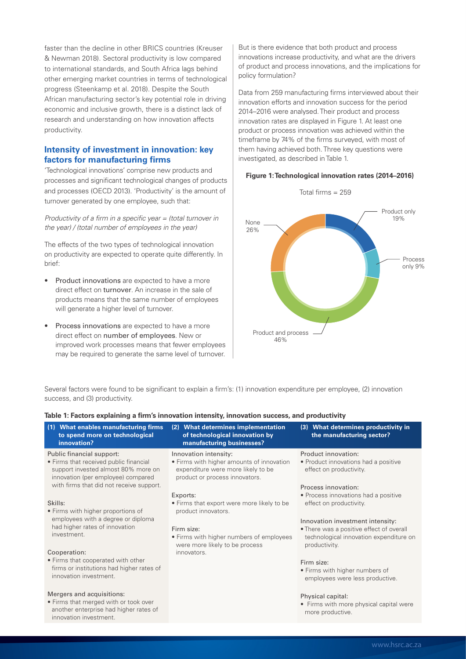faster than the decline in other BRICS countries (Kreuser & Newman 2018). Sectoral productivity is low compared to international standards, and South Africa lags behind other emerging market countries in terms of technological progress (Steenkamp et al. 2018). Despite the South African manufacturing sector's key potential role in driving economic and inclusive growth, there is a distinct lack of research and understanding on how innovation affects productivity.

## **Intensity of investment in innovation: key factors for manufacturing firms**

'Technological innovations' comprise new products and processes and significant technological changes of products and processes (OECD 2013). 'Productivity' is the amount of turnover generated by one employee, such that:

*Productivity of a firm in a specific year = (total turnover in the year) / (total number of employees in the year)*

The effects of the two types of technological innovation on productivity are expected to operate quite differently. In brief:

- Product innovations are expected to have a more direct effect on turnover. An increase in the sale of products means that the same number of employees will generate a higher level of turnover.
- Process innovations are expected to have a more direct effect on number of employees. New or improved work processes means that fewer employees may be required to generate the same level of turnover.

innovation investment.

innovations increase productivity, and what are the drivers But is there evidence that both product and process of product and process innovations, and the implications for policy formulation?

Data from 259 manufacturing firms interviewed about their innovation efforts and innovation success for the period 2014–2016 were analysed. Their product and process innovation rates are displayed in Figure 1. At least one product or process innovation was achieved within the timeframe by 74% of the firms surveyed, with most of them having achieved both. Three key questions were investigated, as described in Table 1.

#### **Figure 1: Technological innovation rates (2014–2016)**



Several factors were found to be significant to explain a firm's: (1) innovation expenditure per employee, (2) innovation success, and (3) productivity.

| (1) What enables manufacturing firms<br>to spend more on technological<br>innovation?                                                                                                                                                                                                                                                | (2) What determines implementation<br>of technological innovation by<br>manufacturing businesses?                                                                                                                                                                                                                       | (3) What determines productivity in<br>the manufacturing sector?                                                                                                                                                                                                                                                             |
|--------------------------------------------------------------------------------------------------------------------------------------------------------------------------------------------------------------------------------------------------------------------------------------------------------------------------------------|-------------------------------------------------------------------------------------------------------------------------------------------------------------------------------------------------------------------------------------------------------------------------------------------------------------------------|------------------------------------------------------------------------------------------------------------------------------------------------------------------------------------------------------------------------------------------------------------------------------------------------------------------------------|
| Public financial support:<br>• Firms that received public financial<br>support invested almost 80% more on<br>innovation (per employee) compared<br>with firms that did not receive support.<br>Skills:<br>• Firms with higher proportions of<br>employees with a degree or diploma<br>had higher rates of innovation<br>investment. | Innovation intensity:<br>• Firms with higher amounts of innovation<br>expenditure were more likely to be<br>product or process innovators.<br>Exports:<br>• Firms that export were more likely to be<br>product innovators.<br>Firm size:<br>• Firms with higher numbers of employees<br>were more likely to be process | Product innovation:<br>• Product innovations had a positive<br>effect on productivity.<br>Process innovation:<br>• Process innovations had a positive<br>effect on productivity.<br>Innovation investment intensity:<br>• There was a positive effect of overall<br>technological innovation expenditure on<br>productivity. |
| Cooperation:<br>• Firms that cooperated with other<br>firms or institutions had higher rates of<br>innovation investment.<br>Mergers and acquisitions:<br>. Firms that merged with or took over<br>another enterprise had higher rates of                                                                                            | innovators.                                                                                                                                                                                                                                                                                                             | Firm size:<br>• Firms with higher numbers of<br>employees were less productive.<br>Physical capital:<br>• Firms with more physical capital were<br>more productive.                                                                                                                                                          |

## **Table 1: Factors explaining a firm's innovation intensity, innovation success, and productivity**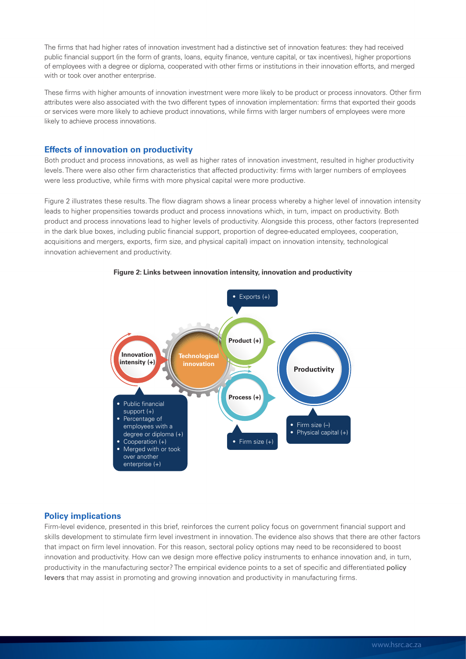www.marce.com/www.hsrc.ac.za/newsleave-taxes-taxes with the constructive capital, or tax incentives), higher proportions public financial support (in the form of grants, loans, equity finance, venture capital, or tax incen The firms that had higher rates of innovation investment had a distinctive set of innovation features: they had received of employees with a degree or diploma, cooperated with other firms or institutions in their innovation efforts, and merged with or took over another enterprise.

These firms with higher amounts of innovation investment were more likely to be product or process innovators. Other firm attributes were also associated with the two different types of innovation implementation: firms that exported their goods or services were more likely to achieve product innovations, while firms with larger numbers of employees were more likely to achieve process innovations.

## **Effects of innovation on productivity**

Both product and process innovations, as well as higher rates of innovation investment, resulted in higher productivity levels. There were also other firm characteristics that affected productivity: firms with larger numbers of employees were less productive, while firms with more physical capital were more productive.

Figure 2 illustrates these results. The flow diagram shows a linear process whereby a higher level of innovation intensity leads to higher propensities towards product and process innovations which, in turn, impact on productivity. Both product and process innovations lead to higher levels of productivity. Alongside this process, other factors (represented in the dark blue boxes, including public financial support, proportion of degree-educated employees, cooperation, acquisitions and mergers, exports, firm size, and physical capital) impact on innovation intensity, technological innovation achievement and productivity.



#### **Figure 2: Links between innovation intensity, innovation and productivity**

## **Policy implications**

Firm-level evidence, presented in this brief, reinforces the current policy focus on government financial support and skills development to stimulate firm level investment in innovation. The evidence also shows that there are other factors that impact on firm level innovation. For this reason, sectoral policy options may need to be reconsidered to boost innovation and productivity. How can we design more effective policy instruments to enhance innovation and, in turn, productivity in the manufacturing sector? The empirical evidence points to a set of specific and differentiated policy levers that may assist in promoting and growing innovation and productivity in manufacturing firms.